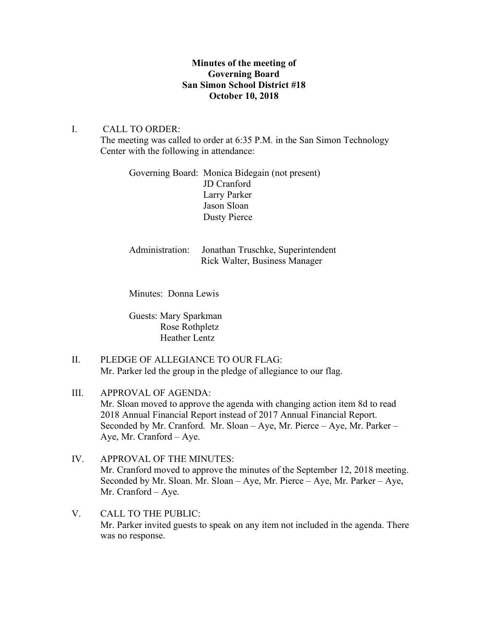## **Minutes of the meeting of Governing Board San Simon School District #18 October 10, 2018**

## I. CALL TO ORDER:

The meeting was called to order at 6:35 P.M. in the San Simon Technology Center with the following in attendance:

Governing Board: Monica Bidegain (not present) JD Cranford Larry Parker Jason Sloan Dusty Pierce

Administration: Jonathan Truschke, Superintendent Rick Walter, Business Manager

Minutes: Donna Lewis

Guests: Mary Sparkman Rose Rothpletz Heather Lentz

- II. PLEDGE OF ALLEGIANCE TO OUR FLAG: Mr. Parker led the group in the pledge of allegiance to our flag.
- III. APPROVAL OF AGENDA: Mr. Sloan moved to approve the agenda with changing action item 8d to read 2018 Annual Financial Report instead of 2017 Annual Financial Report. Seconded by Mr. Cranford. Mr. Sloan – Aye, Mr. Pierce – Aye, Mr. Parker – Aye, Mr. Cranford – Aye.
- IV. APPROVAL OF THE MINUTES: Mr. Cranford moved to approve the minutes of the September 12, 2018 meeting. Seconded by Mr. Sloan. Mr. Sloan – Aye, Mr. Pierce – Aye, Mr. Parker – Aye, Mr. Cranford – Aye.
- V. CALL TO THE PUBLIC: Mr. Parker invited guests to speak on any item not included in the agenda. There was no response.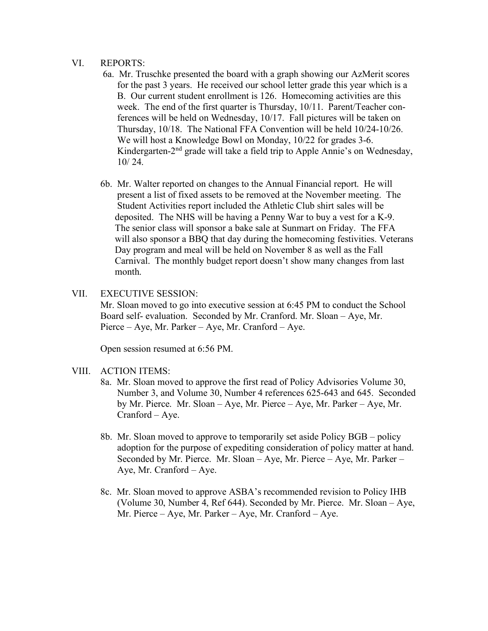### VI. REPORTS:

- 6a. Mr. Truschke presented the board with a graph showing our AzMerit scores for the past 3 years. He received our school letter grade this year which is a B. Our current student enrollment is 126. Homecoming activities are this week. The end of the first quarter is Thursday, 10/11. Parent/Teacher con ferences will be held on Wednesday, 10/17. Fall pictures will be taken on Thursday, 10/18. The National FFA Convention will be held 10/24-10/26. We will host a Knowledge Bowl on Monday, 10/22 for grades 3-6. Kindergarten-2<sup>nd</sup> grade will take a field trip to Apple Annie's on Wednesday, 10/ 24.
- 6b. Mr. Walter reported on changes to the Annual Financial report. He will present a list of fixed assets to be removed at the November meeting. The Student Activities report included the Athletic Club shirt sales will be deposited. The NHS will be having a Penny War to buy a vest for a K-9. The senior class will sponsor a bake sale at Sunmart on Friday. The FFA will also sponsor a BBQ that day during the homecoming festivities. Veterans Day program and meal will be held on November 8 as well as the Fall Carnival. The monthly budget report doesn't show many changes from last month.
- VII. EXECUTIVE SESSION:

Mr. Sloan moved to go into executive session at 6:45 PM to conduct the School Board self- evaluation. Seconded by Mr. Cranford. Mr. Sloan – Aye, Mr. Pierce – Aye, Mr. Parker – Aye, Mr. Cranford – Aye.

Open session resumed at 6:56 PM.

#### VIII. ACTION ITEMS:

- 8a. Mr. Sloan moved to approve the first read of Policy Advisories Volume 30, Number 3, and Volume 30, Number 4 references 625-643 and 645. Seconded by Mr. Pierce. Mr. Sloan – Aye, Mr. Pierce – Aye, Mr. Parker – Aye, Mr. Cranford – Aye.
- 8b. Mr. Sloan moved to approve to temporarily set aside Policy BGB policy adoption for the purpose of expediting consideration of policy matter at hand. Seconded by Mr. Pierce. Mr. Sloan – Aye, Mr. Pierce – Aye, Mr. Parker – Aye, Mr. Cranford – Aye.
- 8c. Mr. Sloan moved to approve ASBA's recommended revision to Policy IHB (Volume 30, Number 4, Ref 644). Seconded by Mr. Pierce. Mr. Sloan – Aye, Mr. Pierce – Aye, Mr. Parker – Aye, Mr. Cranford – Aye.